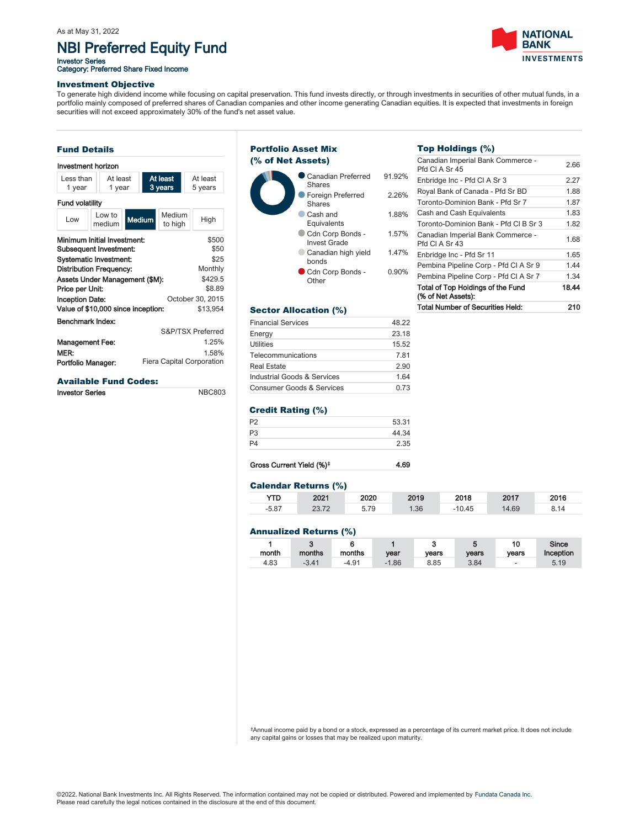## NBI Preferred Equity Fund

Investor Series<br>Category: Preferred Share Fixed Income



Top Holdings (%)

Canadian Imperial Bank Commerce -

Canadian Imperial Bank Commerce -

Total of Top Holdings of the Fund

(% of Net Assets):

Canadian imperial Bank Commerce - 2.66<br>Pfd Cl A Sr 45 Enbridge Inc - Pfd Cl A Sr 3 2.27 Royal Bank of Canada - Pfd Sr BD 1.88 Toronto-Dominion Bank - Pfd Sr 7 1.87 Cash and Cash Equivalents 1.83 Toronto-Dominion Bank - Pfd Cl B Sr 3 1.82

Canadian imperial Bank Commerce - 1.68 Enbridge Inc - Pfd Sr 11 1.65 Pembina Pipeline Corp - Pfd Cl A Sr 9 1.44 Pembina Pipeline Corp - Pfd Cl A Sr 7 1.34

Total Number of Securities Held: 210

18.44

#### Investment Objective

To generate high dividend income while focusing on capital preservation. This fund invests directly, or through investments in securities of other mutual funds, in a portfolio mainly composed of preferred shares of Canadian companies and other income generating Canadian equities. It is expected that investments in foreign securities will not exceed approximately 30% of the fund's net asset value.

#### Fund Details

#### Minimum Initial Investment: Subsequent Investment: Systematic Investment: Distribution Frequency: Assets Under Management (\$M): Price per Unit: Inception Date: Value of \$10,000 since inception: \$500 \$50 \$25 Monthly \$429.5 \$8.89 October 30, 2015 \$13,954 Management Fee: MER:<br>Portfolio Manager: 1.25% 1.58% Fiera Capital Corporation Benchmark Index: S&P/TSX Preferred Investment horizon Less than 1 year At least 1 year At least  $3<sub>v</sub>$ At least 5 years Fund volatility Low Low to<br>medium Medium Medium to high High

## Available Fund Codes:

Investor Series NBC803



#### Sector Allocation (%)

| <b>Financial Services</b>   | 48.22 |  |  |
|-----------------------------|-------|--|--|
| Energy                      | 23.18 |  |  |
| Utilities                   | 15.52 |  |  |
| Telecommunications          | 7.81  |  |  |
| <b>Real Estate</b>          | 2.90  |  |  |
| Industrial Goods & Services | 1.64  |  |  |
| Consumer Goods & Services   | 0.73  |  |  |

### Credit Rating (%)

| P2 | 53.31 |
|----|-------|
| P3 | 44.34 |
| P4 | 2.35  |
|    |       |

### Gross Current Yield (%)<sup>‡</sup> 4.69

#### Calendar Returns (%)

| YTD     | 2021 | 2020 | 2019        | 2018     | 2017 | 2016 |
|---------|------|------|-------------|----------|------|------|
| $-5.87$ |      | 5.79 | <b>1.36</b> | $-10.45$ | 4.69 |      |

#### Annualized Returns (%)

| month | $\bullet$<br>months | months  | vear    | vears | vears | 10<br>vears | <b>Since</b><br>Inception |
|-------|---------------------|---------|---------|-------|-------|-------------|---------------------------|
| 4.83  | $-3.41$             | $-4.91$ | $-1.86$ | 8.85  | 3.84  | -           | 5.19                      |

#### ‡Annual income paid by a bond or a stock, expressed as a percentage of its current market price. It does not include any capital gains or losses that may be realized upon maturity.

©2022. National Bank Investments Inc. All Rights Reserved. The information contained may not be copied or distributed. Powered and implemented by [Fundata Canada Inc.](http://fundata.com/TermsOfUse.aspx) Please read carefully the legal notices contained in the disclosure at the end of this document.